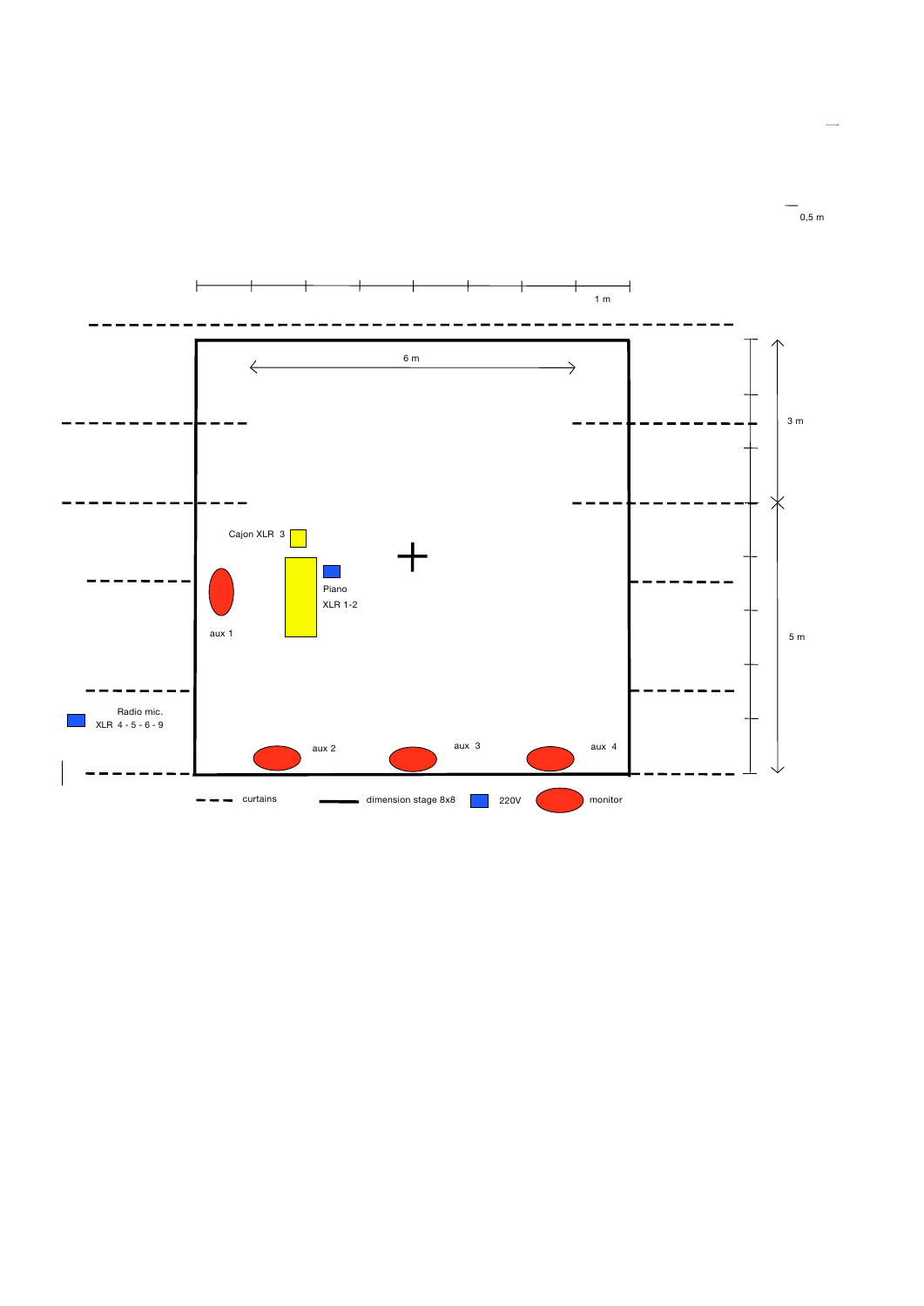

0,5 m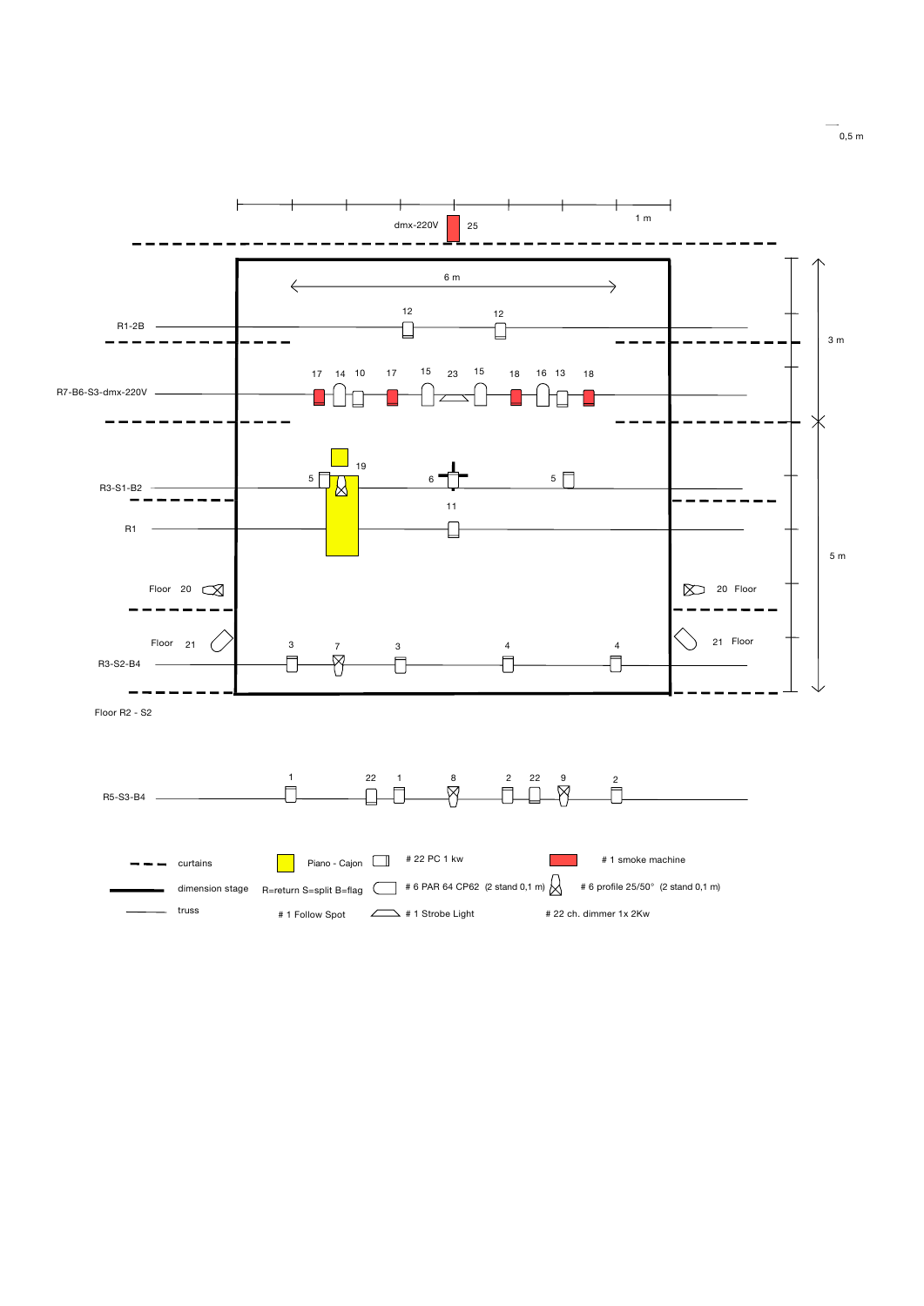

0,5 m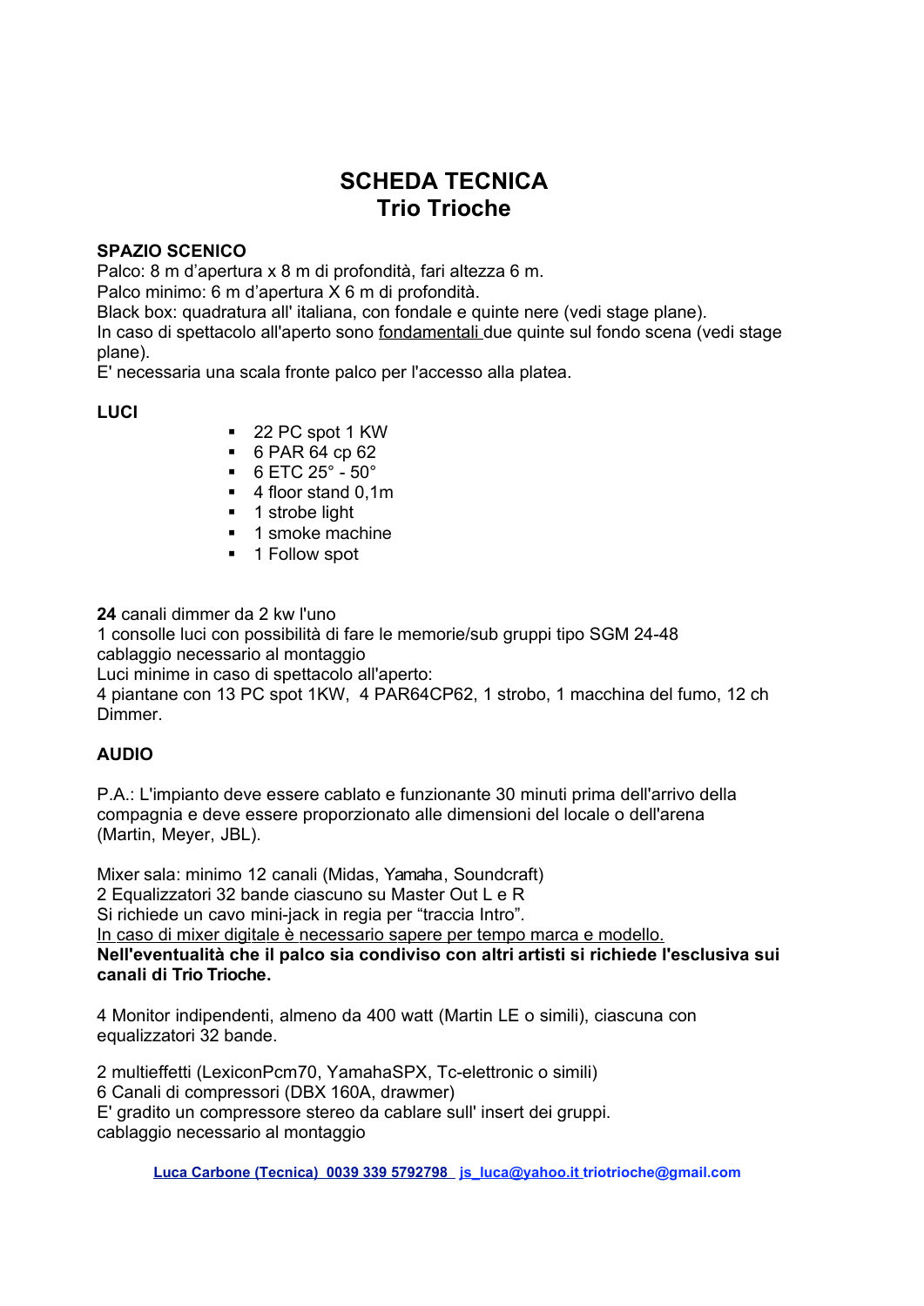# **SCHEDA TECNICA Trio Trioche**

#### **SPAZIO SCENICO**

Palco: 8 m d'apertura x 8 m di profondità, fari altezza 6 m.

Palco minimo: 6 m d'apertura X 6 m di profondità.

Black box: quadratura all'italiana, con fondale e quinte nere (vedi stage plane).

In caso di spettacolo all'aperto sono fondamentali due quinte sul fondo scena (vedi stage plane).

E' necessaria una scala fronte palco per l'accesso alla platea.

**LUCI** 

- 22 PC spot 1 KW
- $-6$  PAR 64 cp 62
- $-6$  ETC 25 $^{\circ}$  50 $^{\circ}$
- $\blacksquare$  4 floor stand 0.1m
- 1 strobe light
- **1** smoke machine
- 1 Follow spot

24 canali dimmer da 2 kw l'uno 1 consolle luci con possibilità di fare le memorie/sub gruppi tipo SGM 24-48 cablaggio necessario al montaggio Luci minime in caso di spettacolo all'aperto: 4 piantane con 13 PC spot 1KW, 4 PAR64CP62, 1 strobo, 1 macchina del fumo, 12 ch Dimmer.

## **AUDIO**

P.A.: L'impianto deve essere cablato e funzionante 30 minuti prima dell'arrivo della compagnia e deve essere proporzionato alle dimensioni del locale o dell'arena (Martin, Meyer, JBL).

Mixer sala: minimo 12 canali (Midas, Yamaha, Soundcraft) 2 Equalizzatori 32 bande ciascuno su Master Out L e R Si richiede un cavo mini-jack in regia per "traccia Intro". In caso di mixer digitale è necessario sapere per tempo marca e modello. Nell'eventualità che il palco sia condiviso con altri artisti si richiede l'esclusiva sui canali di Trio Trioche.

4 Monitor indipendenti, almeno da 400 watt (Martin LE o simili), ciascuna con equalizzatori 32 bande.

2 multieffetti (LexiconPcm70, YamahaSPX, Tc-elettronic o simili) 6 Canali di compressori (DBX 160A, drawmer) E' gradito un compressore stereo da cablare sull'insert dei gruppi. cablaggio necessario al montaggio

Luca Carbone (Tecnica) 0039 339 5792798 js luca@yahoo.it triotrioche@gmail.com